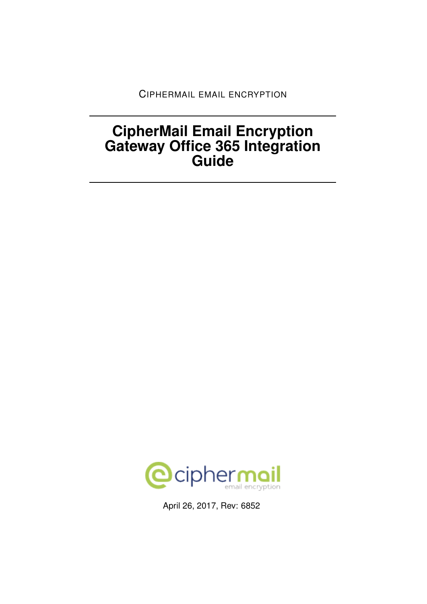CIPHERMAIL EMAIL ENCRYPTION

# **CipherMail Email Encryption Gateway Office 365 Integration Guide**



April 26, 2017, Rev: 6852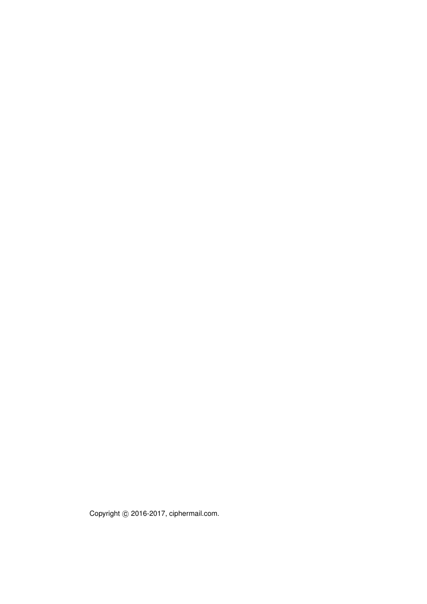Copyright © 2016-2017, ciphermail.com.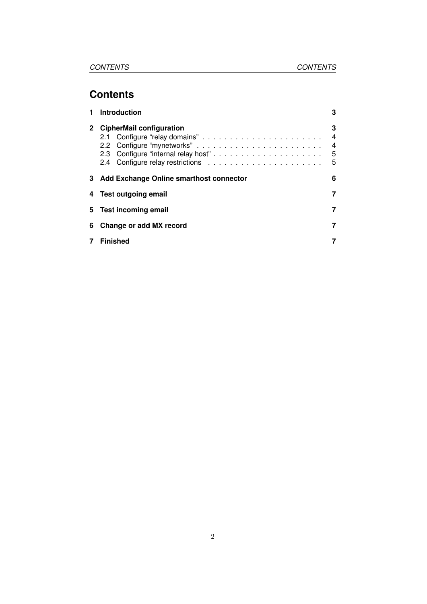## **Contents**

|             | <b>Introduction</b>                       | 3                                                   |
|-------------|-------------------------------------------|-----------------------------------------------------|
| $2^{\circ}$ | <b>CipherMail configuration</b>           | 3<br>$\overline{4}$<br>$\overline{4}$<br>- 5<br>- 5 |
|             | 3 Add Exchange Online smarthost connector |                                                     |
|             | 4 Test outgoing email                     | 7                                                   |
| 5.          | <b>Test incoming email</b>                |                                                     |
| 6           | Change or add MX record                   |                                                     |
|             | <b>Finished</b>                           | 7                                                   |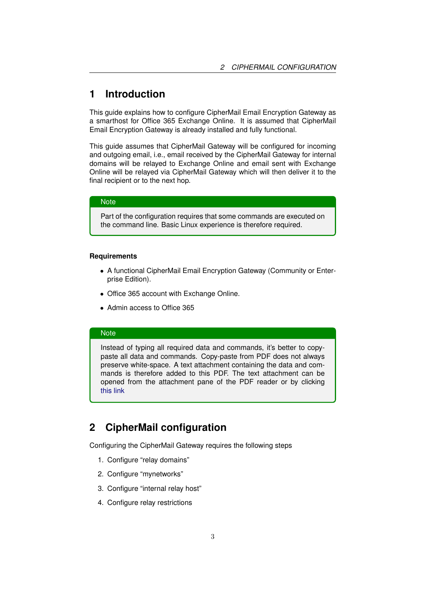## <span id="page-3-0"></span>**1 Introduction**

This guide explains how to configure CipherMail Email Encryption Gateway as a smarthost for Office 365 Exchange Online. It is assumed that CipherMail Email Encryption Gateway is already installed and fully functional.

This guide assumes that CipherMail Gateway will be configured for incoming and outgoing email, i.e., email received by the CipherMail Gateway for internal domains will be relayed to Exchange Online and email sent with Exchange Online will be relayed via CipherMail Gateway which will then deliver it to the final recipient or to the next hop.

#### **Note**

Part of the configuration requires that some commands are executed on the command line. Basic Linux experience is therefore required.

#### **Requirements**

- A functional CipherMail Email Encryption Gateway (Community or Enterprise Edition).
- Office 365 account with Exchange Online.
- Admin access to Office 365

### **Note**

Instead of typing all required data and commands, it's better to copypaste all data and commands. Copy-paste from PDF does not always preserve white-space. A text attachment containing the data and commands is therefore added to this PDF. The text attachment can be opened from the attachment pane of the PDF reader or by clicking this link

## <span id="page-3-1"></span>**2 CipherMail configuration**

Configuring the CipherMail Gateway requires the following steps

- 1. Configure "relay domains"
- 2. Configure "mynetworks"
- 3. Configure "internal relay host"
- 4. Configure relay restrictions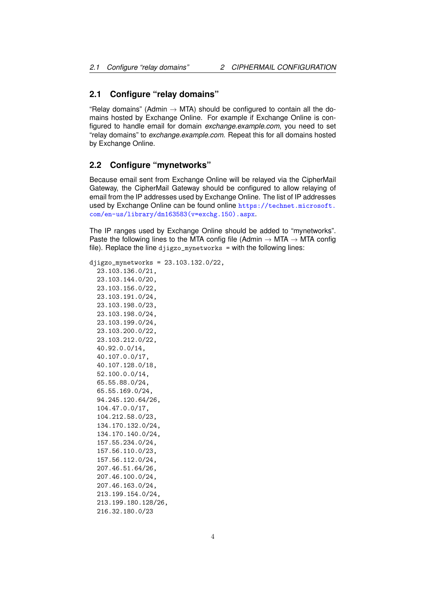#### <span id="page-4-0"></span>**2.1 Configure "relay domains"**

"Relay domains" (Admin  $\rightarrow$  MTA) should be configured to contain all the domains hosted by Exchange Online. For example if Exchange Online is configured to handle email for domain *exchange.example.com*, you need to set "relay domains" to *exchange.example.com*. Repeat this for all domains hosted by Exchange Online.

#### <span id="page-4-1"></span>**2.2 Configure "mynetworks"**

Because email sent from Exchange Online will be relayed via the CipherMail Gateway, the CipherMail Gateway should be configured to allow relaying of email from the IP addresses used by Exchange Online. The list of IP addresses used by Exchange Online can be found online [https://technet.microsoft.](https://technet.microsoft.com/en-us/library/dn163583(v=exchg.150).aspx) [com/en-us/library/dn163583\(v=exchg.150\).aspx](https://technet.microsoft.com/en-us/library/dn163583(v=exchg.150).aspx).

The IP ranges used by Exchange Online should be added to "mynetworks". Paste the following lines to the MTA config file (Admin  $\rightarrow$  MTA  $\rightarrow$  MTA config file). Replace the line djigzo\_mynetworks = with the following lines:

djigzo\_mynetworks = 23.103.132.0/22, 23.103.136.0/21, 23.103.144.0/20, 23.103.156.0/22, 23.103.191.0/24, 23.103.198.0/23, 23.103.198.0/24, 23.103.199.0/24, 23.103.200.0/22, 23.103.212.0/22, 40.92.0.0/14, 40.107.0.0/17, 40.107.128.0/18, 52.100.0.0/14, 65.55.88.0/24, 65.55.169.0/24, 94.245.120.64/26, 104.47.0.0/17, 104.212.58.0/23, 134.170.132.0/24, 134.170.140.0/24, 157.55.234.0/24, 157.56.110.0/23, 157.56.112.0/24, 207.46.51.64/26, 207.46.100.0/24, 207.46.163.0/24, 213.199.154.0/24, 213.199.180.128/26,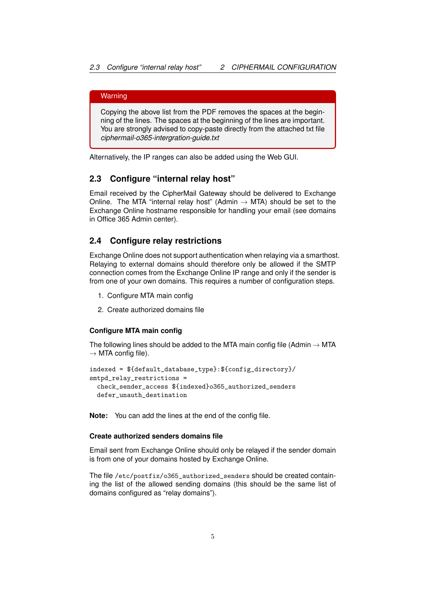#### **Warning**

Copying the above list from the PDF removes the spaces at the beginning of the lines. The spaces at the beginning of the lines are important. You are strongly advised to copy-paste directly from the attached txt file *ciphermail-o365-intergration-guide.txt*

Alternatively, the IP ranges can also be added using the Web GUI.

#### <span id="page-5-0"></span>**2.3 Configure "internal relay host"**

Email received by the CipherMail Gateway should be delivered to Exchange Online. The MTA "internal relay host" (Admin  $\rightarrow$  MTA) should be set to the Exchange Online hostname responsible for handling your email (see domains in Office 365 Admin center).

### <span id="page-5-1"></span>**2.4 Configure relay restrictions**

Exchange Online does not support authentication when relaying via a smarthost. Relaying to external domains should therefore only be allowed if the SMTP connection comes from the Exchange Online IP range and only if the sender is from one of your own domains. This requires a number of configuration steps.

- 1. Configure MTA main config
- 2. Create authorized domains file

#### **Configure MTA main config**

The following lines should be added to the MTA main config file (Admin  $\rightarrow$  MTA  $\rightarrow$  MTA config file).

```
indexed = ${default_database_type}:${config_directory}/
smtpd_relay_restrictions =
 check_sender_access ${indexed}o365_authorized_senders
 defer_unauth_destination
```
**Note:** You can add the lines at the end of the config file.

#### **Create authorized senders domains file**

Email sent from Exchange Online should only be relayed if the sender domain is from one of your domains hosted by Exchange Online.

The file /etc/postfix/o365\_authorized\_senders should be created containing the list of the allowed sending domains (this should be the same list of domains configured as "relay domains").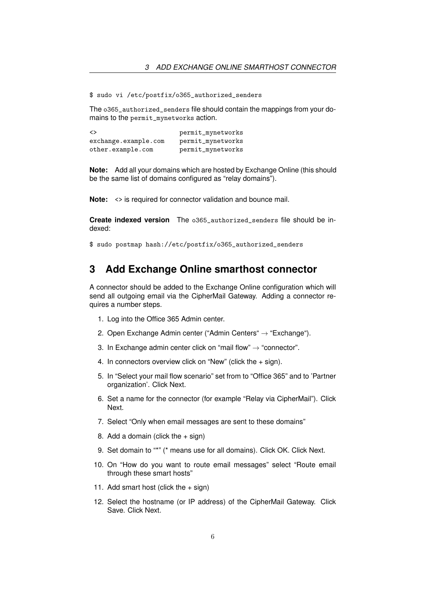\$ sudo vi /etc/postfix/o365\_authorized\_senders

The o365\_authorized\_senders file should contain the mappings from your domains to the permit\_mynetworks action.

| <>                   | permit_mynetworks |
|----------------------|-------------------|
| exchange.example.com | permit_mynetworks |
| other.example.com    | permit_mynetworks |

**Note:** Add all your domains which are hosted by Exchange Online (this should be the same list of domains configured as "relay domains").

**Note:** <> is required for connector validation and bounce mail.

**Create indexed version** The o365\_authorized\_senders file should be indexed:

\$ sudo postmap hash://etc/postfix/o365\_authorized\_senders

## <span id="page-6-0"></span>**3 Add Exchange Online smarthost connector**

A connector should be added to the Exchange Online configuration which will send all outgoing email via the CipherMail Gateway. Adding a connector requires a number steps.

- 1. Log into the Office 365 Admin center.
- 2. Open Exchange Admin center ("Admin Centers" → "Exchange").
- 3. In Exchange admin center click on "mail flow"  $\rightarrow$  "connector".
- 4. In connectors overview click on "New" (click the + sign).
- 5. In "Select your mail flow scenario" set from to "Office 365" and to 'Partner organization'. Click Next.
- 6. Set a name for the connector (for example "Relay via CipherMail"). Click Next.
- 7. Select "Only when email messages are sent to these domains"
- 8. Add a domain (click the  $+$  sign)
- 9. Set domain to "\*" (\* means use for all domains). Click OK. Click Next.
- 10. On "How do you want to route email messages" select "Route email through these smart hosts"
- 11. Add smart host (click the  $+$  sign)
- 12. Select the hostname (or IP address) of the CipherMail Gateway. Click Save. Click Next.